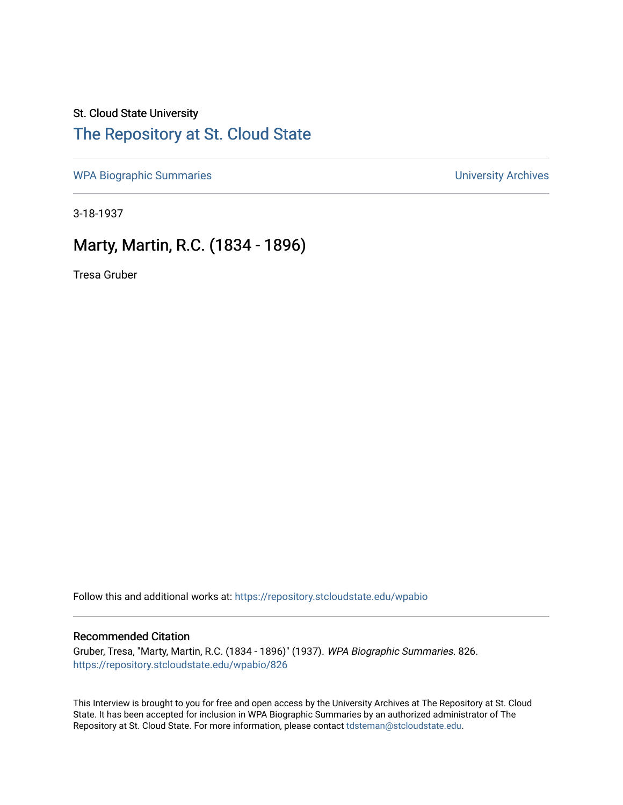#### St. Cloud State University

## [The Repository at St. Cloud State](https://repository.stcloudstate.edu/)

[WPA Biographic Summaries](https://repository.stcloudstate.edu/wpabio) **WPA Biographic Summaries University Archives** 

3-18-1937

### Marty, Martin, R.C. (1834 - 1896)

Tresa Gruber

Follow this and additional works at: [https://repository.stcloudstate.edu/wpabio](https://repository.stcloudstate.edu/wpabio?utm_source=repository.stcloudstate.edu%2Fwpabio%2F826&utm_medium=PDF&utm_campaign=PDFCoverPages) 

#### Recommended Citation

Gruber, Tresa, "Marty, Martin, R.C. (1834 - 1896)" (1937). WPA Biographic Summaries. 826. [https://repository.stcloudstate.edu/wpabio/826](https://repository.stcloudstate.edu/wpabio/826?utm_source=repository.stcloudstate.edu%2Fwpabio%2F826&utm_medium=PDF&utm_campaign=PDFCoverPages) 

This Interview is brought to you for free and open access by the University Archives at The Repository at St. Cloud State. It has been accepted for inclusion in WPA Biographic Summaries by an authorized administrator of The Repository at St. Cloud State. For more information, please contact [tdsteman@stcloudstate.edu.](mailto:tdsteman@stcloudstate.edu)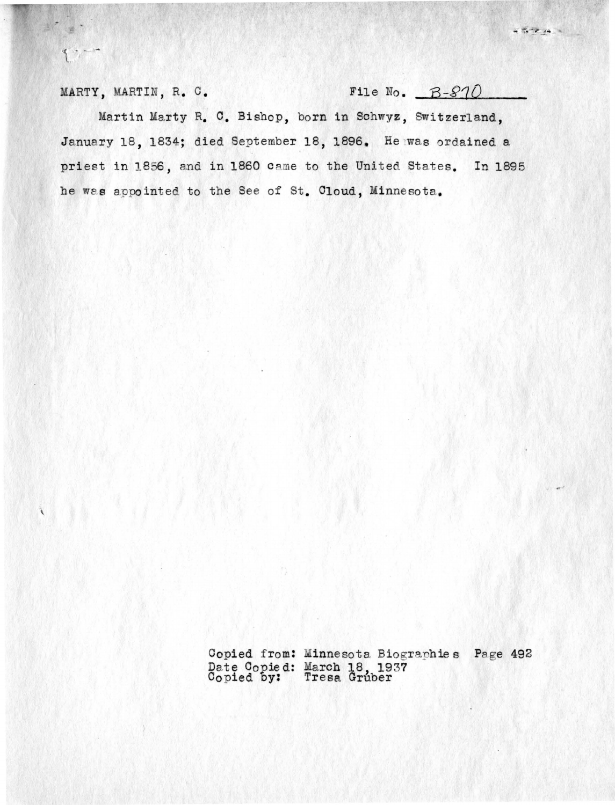MARTY, MARTIN, R. C. File No. B-810

 $9 - 10$ 

 $457214.4$ 

Martin Marty R. C. Bishop, born in Schwyz, Switzerland, January 18, 1834; died September 18, 1896. He was ordained a priest in 1856, and in 1860 came to the United States. In 1895 he was appointed to the See of St. Cloud, Minnesota.

> Copied from: Minnesota Biographies Page 492 Date Copied: March 18, 1937 Copied by: Tresa Gruber